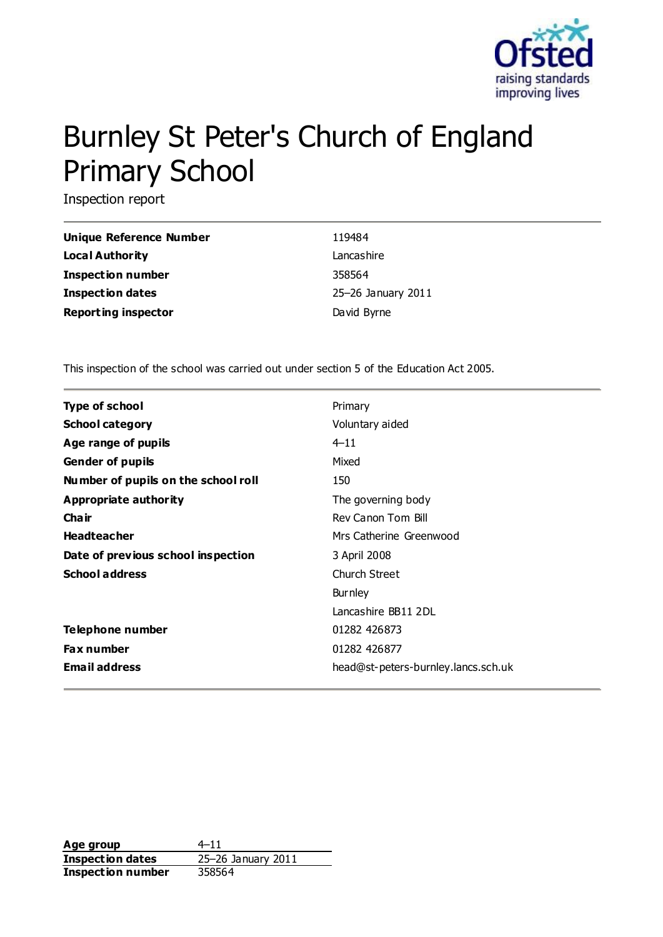

# Burnley St Peter's Church of England Primary School

Inspection report

| Unique Reference Number    | 119484             |
|----------------------------|--------------------|
| Local Authority            | Lancashire         |
| <b>Inspection number</b>   | 358564             |
| <b>Inspection dates</b>    | 25-26 January 2011 |
| <b>Reporting inspector</b> | David Byrne        |

This inspection of the school was carried out under section 5 of the Education Act 2005.

| <b>Type of school</b>               | Primary                             |
|-------------------------------------|-------------------------------------|
| <b>School category</b>              | Voluntary aided                     |
| Age range of pupils                 | $4 - 11$                            |
| <b>Gender of pupils</b>             | Mixed                               |
| Number of pupils on the school roll | 150                                 |
| Appropriate authority               | The governing body                  |
| Cha ir                              | Rev Canon Tom Bill                  |
| <b>Headteacher</b>                  | Mrs Catherine Greenwood             |
| Date of previous school inspection  | 3 April 2008                        |
| <b>School address</b>               | Church Street                       |
|                                     | <b>Burnley</b>                      |
|                                     | Lancashire BB11 2DL                 |
| <b>Telephone number</b>             | 01282 426873                        |
| <b>Fax number</b>                   | 01282 426877                        |
| <b>Email address</b>                | head@st-peters-burnley.lancs.sch.uk |

**Age group**  $4-11$ **Inspection dates** 25–26 January 2011 **Inspection number** 358564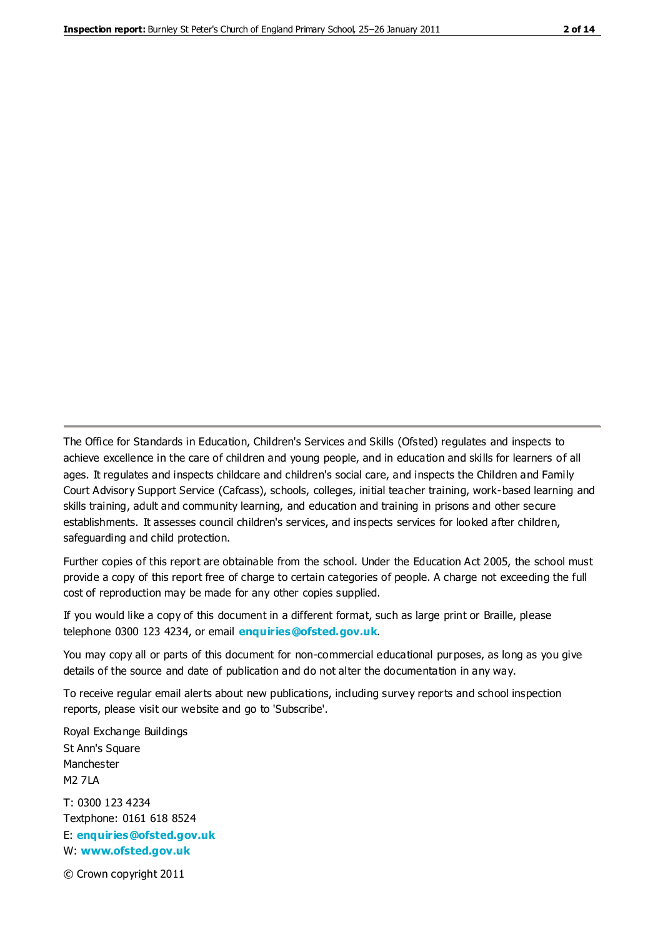The Office for Standards in Education, Children's Services and Skills (Ofsted) regulates and inspects to achieve excellence in the care of children and young people, and in education and skills for learners of all ages. It regulates and inspects childcare and children's social care, and inspects the Children and Family Court Advisory Support Service (Cafcass), schools, colleges, initial teacher training, work-based learning and skills training, adult and community learning, and education and training in prisons and other secure establishments. It assesses council children's services, and inspects services for looked after children, safeguarding and child protection.

Further copies of this report are obtainable from the school. Under the Education Act 2005, the school must provide a copy of this report free of charge to certain categories of people. A charge not exceeding the full cost of reproduction may be made for any other copies supplied.

If you would like a copy of this document in a different format, such as large print or Braille, please telephone 0300 123 4234, or email **[enquiries@ofsted.gov.uk](mailto:enquiries@ofsted.gov.uk)**.

You may copy all or parts of this document for non-commercial educational purposes, as long as you give details of the source and date of publication and do not alter the documentation in any way.

To receive regular email alerts about new publications, including survey reports and school inspection reports, please visit our website and go to 'Subscribe'.

Royal Exchange Buildings St Ann's Square Manchester M2 7LA T: 0300 123 4234 Textphone: 0161 618 8524 E: **[enquiries@ofsted.gov.uk](mailto:enquiries@ofsted.gov.uk)**

W: **[www.ofsted.gov.uk](http://www.ofsted.gov.uk/)**

© Crown copyright 2011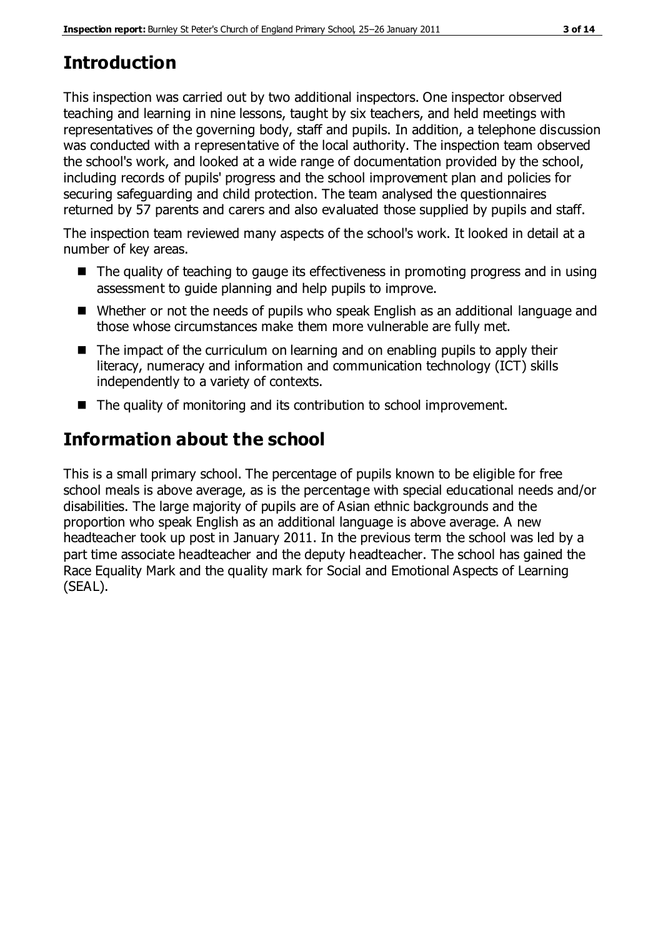# **Introduction**

This inspection was carried out by two additional inspectors. One inspector observed teaching and learning in nine lessons, taught by six teachers, and held meetings with representatives of the governing body, staff and pupils. In addition, a telephone discussion was conducted with a representative of the local authority. The inspection team observed the school's work, and looked at a wide range of documentation provided by the school, including records of pupils' progress and the school improvement plan and policies for securing safeguarding and child protection. The team analysed the questionnaires returned by 57 parents and carers and also evaluated those supplied by pupils and staff.

The inspection team reviewed many aspects of the school's work. It looked in detail at a number of key areas.

- The quality of teaching to gauge its effectiveness in promoting progress and in using assessment to guide planning and help pupils to improve.
- Whether or not the needs of pupils who speak English as an additional language and those whose circumstances make them more vulnerable are fully met.
- The impact of the curriculum on learning and on enabling pupils to apply their literacy, numeracy and information and communication technology (ICT) skills independently to a variety of contexts.
- The quality of monitoring and its contribution to school improvement.

# **Information about the school**

This is a small primary school. The percentage of pupils known to be eligible for free school meals is above average, as is the percentage with special educational needs and/or disabilities. The large majority of pupils are of Asian ethnic backgrounds and the proportion who speak English as an additional language is above average. A new headteacher took up post in January 2011. In the previous term the school was led by a part time associate headteacher and the deputy headteacher. The school has gained the Race Equality Mark and the quality mark for Social and Emotional Aspects of Learning (SEAL).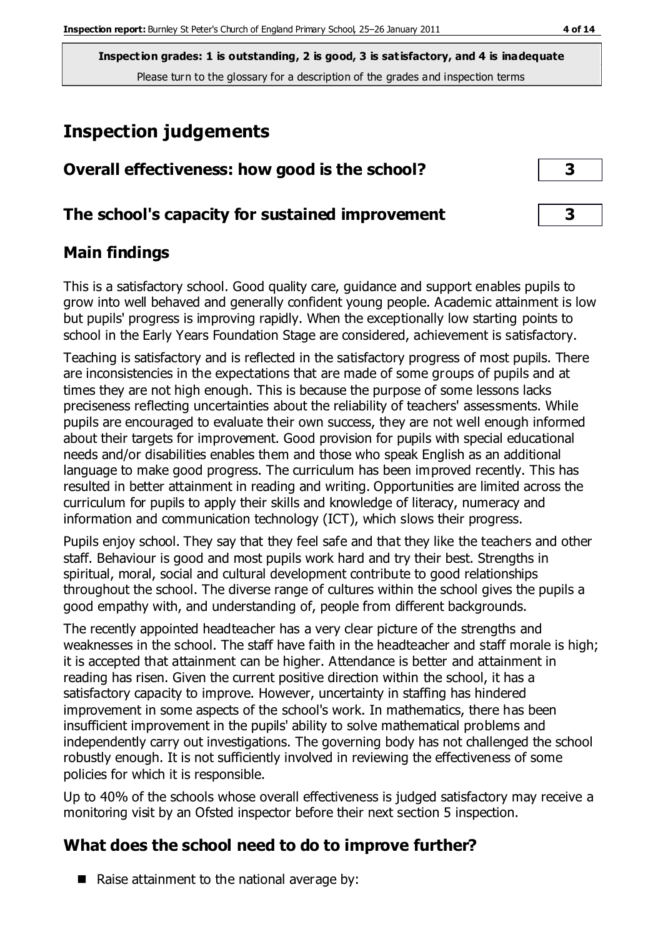**Inspection grades: 1 is outstanding, 2 is good, 3 is satisfactory, and 4 is inadequate** Please turn to the glossary for a description of the grades and inspection terms

# **Inspection judgements**

| Overall effectiveness: how good is the school?  |  |
|-------------------------------------------------|--|
| The school's capacity for sustained improvement |  |

#### **Main findings**

This is a satisfactory school. Good quality care, guidance and support enables pupils to grow into well behaved and generally confident young people. Academic attainment is low but pupils' progress is improving rapidly. When the exceptionally low starting points to school in the Early Years Foundation Stage are considered, achievement is satisfactory.

Teaching is satisfactory and is reflected in the satisfactory progress of most pupils. There are inconsistencies in the expectations that are made of some groups of pupils and at times they are not high enough. This is because the purpose of some lessons lacks preciseness reflecting uncertainties about the reliability of teachers' assessments. While pupils are encouraged to evaluate their own success, they are not well enough informed about their targets for improvement. Good provision for pupils with special educational needs and/or disabilities enables them and those who speak English as an additional language to make good progress. The curriculum has been improved recently. This has resulted in better attainment in reading and writing. Opportunities are limited across the curriculum for pupils to apply their skills and knowledge of literacy, numeracy and information and communication technology (ICT), which slows their progress.

Pupils enjoy school. They say that they feel safe and that they like the teachers and other staff. Behaviour is good and most pupils work hard and try their best. Strengths in spiritual, moral, social and cultural development contribute to good relationships throughout the school. The diverse range of cultures within the school gives the pupils a good empathy with, and understanding of, people from different backgrounds.

The recently appointed headteacher has a very clear picture of the strengths and weaknesses in the school. The staff have faith in the headteacher and staff morale is high; it is accepted that attainment can be higher. Attendance is better and attainment in reading has risen. Given the current positive direction within the school, it has a satisfactory capacity to improve. However, uncertainty in staffing has hindered improvement in some aspects of the school's work. In mathematics, there has been insufficient improvement in the pupils' ability to solve mathematical problems and independently carry out investigations. The governing body has not challenged the school robustly enough. It is not sufficiently involved in reviewing the effectiveness of some policies for which it is responsible.

Up to 40% of the schools whose overall effectiveness is judged satisfactory may receive a monitoring visit by an Ofsted inspector before their next section 5 inspection.

# **What does the school need to do to improve further?**

 $\blacksquare$  Raise attainment to the national average by: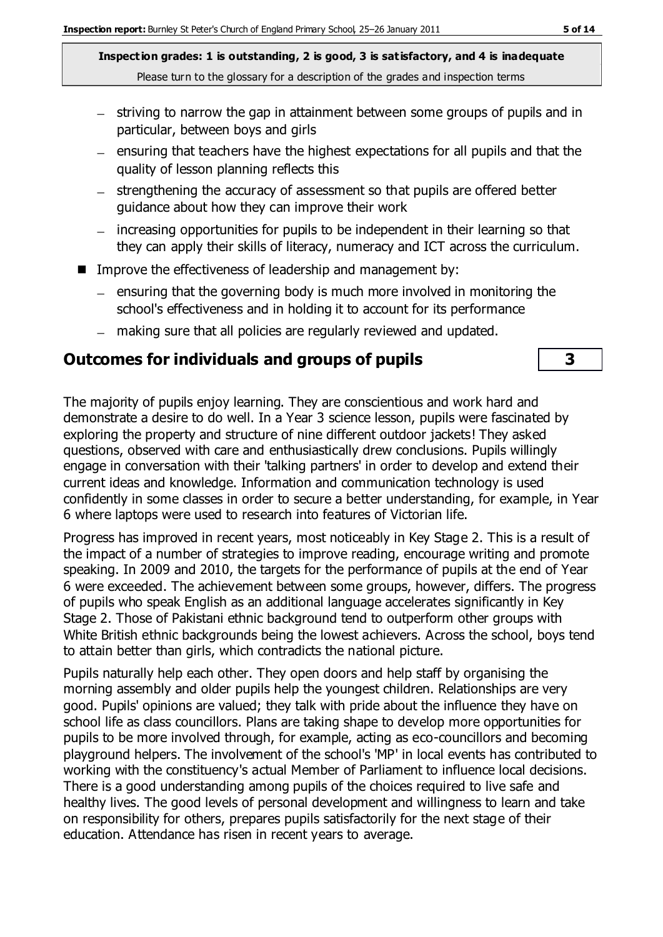**Inspection grades: 1 is outstanding, 2 is good, 3 is satisfactory, and 4 is inadequate** Please turn to the glossary for a description of the grades and inspection terms

- striving to narrow the gap in attainment between some groups of pupils and in particular, between boys and girls
- $-$  ensuring that teachers have the highest expectations for all pupils and that the quality of lesson planning reflects this
- strengthening the accuracy of assessment so that pupils are offered better guidance about how they can improve their work
- increasing opportunities for pupils to be independent in their learning so that they can apply their skills of literacy, numeracy and ICT across the curriculum.
- Improve the effectiveness of leadership and management by:
	- $-$  ensuring that the governing body is much more involved in monitoring the school's effectiveness and in holding it to account for its performance
	- making sure that all policies are regularly reviewed and updated.

#### **Outcomes for individuals and groups of pupils 3**

The majority of pupils enjoy learning. They are conscientious and work hard and demonstrate a desire to do well. In a Year 3 science lesson, pupils were fascinated by exploring the property and structure of nine different outdoor jackets! They asked questions, observed with care and enthusiastically drew conclusions. Pupils willingly engage in conversation with their 'talking partners' in order to develop and extend their current ideas and knowledge. Information and communication technology is used confidently in some classes in order to secure a better understanding, for example, in Year 6 where laptops were used to research into features of Victorian life.

Progress has improved in recent years, most noticeably in Key Stage 2. This is a result of the impact of a number of strategies to improve reading, encourage writing and promote speaking. In 2009 and 2010, the targets for the performance of pupils at the end of Year 6 were exceeded. The achievement between some groups, however, differs. The progress of pupils who speak English as an additional language accelerates significantly in Key Stage 2. Those of Pakistani ethnic background tend to outperform other groups with White British ethnic backgrounds being the lowest achievers. Across the school, boys tend to attain better than girls, which contradicts the national picture.

Pupils naturally help each other. They open doors and help staff by organising the morning assembly and older pupils help the youngest children. Relationships are very good. Pupils' opinions are valued; they talk with pride about the influence they have on school life as class councillors. Plans are taking shape to develop more opportunities for pupils to be more involved through, for example, acting as eco-councillors and becoming playground helpers. The involvement of the school's 'MP' in local events has contributed to working with the constituency's actual Member of Parliament to influence local decisions. There is a good understanding among pupils of the choices required to live safe and healthy lives. The good levels of personal development and willingness to learn and take on responsibility for others, prepares pupils satisfactorily for the next stage of their education. Attendance has risen in recent years to average.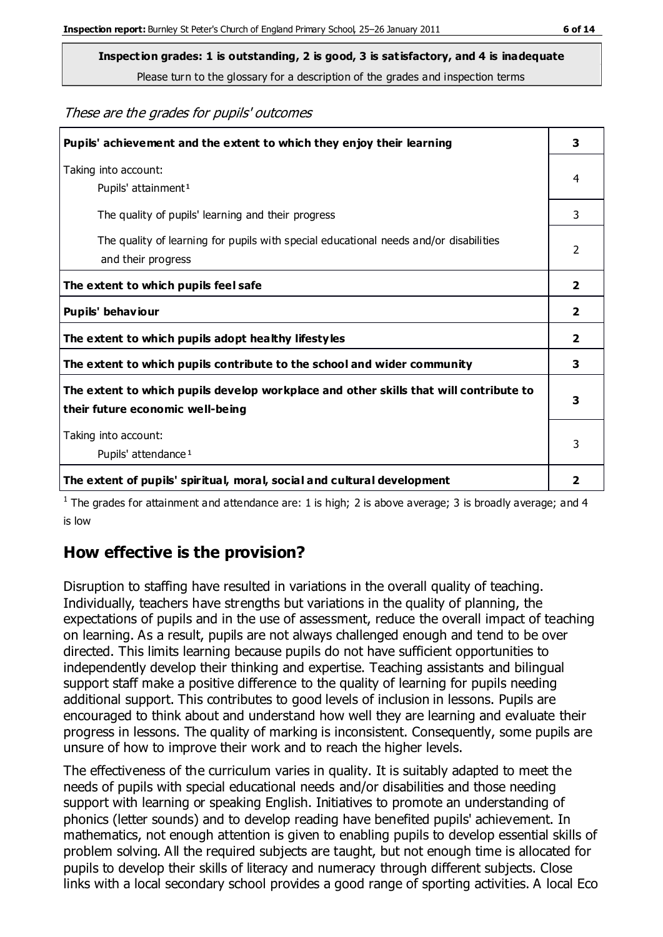**Inspection grades: 1 is outstanding, 2 is good, 3 is satisfactory, and 4 is inadequate**

Please turn to the glossary for a description of the grades and inspection terms

#### These are the grades for pupils' outcomes

| Pupils' achievement and the extent to which they enjoy their learning                                                     |                         |
|---------------------------------------------------------------------------------------------------------------------------|-------------------------|
| Taking into account:<br>Pupils' attainment <sup>1</sup>                                                                   |                         |
| The quality of pupils' learning and their progress                                                                        | 3                       |
| The quality of learning for pupils with special educational needs and/or disabilities<br>and their progress               | 2                       |
| The extent to which pupils feel safe                                                                                      | 2                       |
| Pupils' behaviour                                                                                                         | 2                       |
| The extent to which pupils adopt healthy lifestyles                                                                       | 2                       |
| The extent to which pupils contribute to the school and wider community                                                   | 3                       |
| The extent to which pupils develop workplace and other skills that will contribute to<br>their future economic well-being | 3                       |
| Taking into account:<br>Pupils' attendance <sup>1</sup>                                                                   |                         |
| The extent of pupils' spiritual, moral, social and cultural development                                                   | $\overline{\mathbf{2}}$ |

<sup>1</sup> The grades for attainment and attendance are: 1 is high; 2 is above average; 3 is broadly average; and 4 is low

#### **How effective is the provision?**

Disruption to staffing have resulted in variations in the overall quality of teaching. Individually, teachers have strengths but variations in the quality of planning, the expectations of pupils and in the use of assessment, reduce the overall impact of teaching on learning. As a result, pupils are not always challenged enough and tend to be over directed. This limits learning because pupils do not have sufficient opportunities to independently develop their thinking and expertise. Teaching assistants and bilingual support staff make a positive difference to the quality of learning for pupils needing additional support. This contributes to good levels of inclusion in lessons. Pupils are encouraged to think about and understand how well they are learning and evaluate their progress in lessons. The quality of marking is inconsistent. Consequently, some pupils are unsure of how to improve their work and to reach the higher levels.

The effectiveness of the curriculum varies in quality. It is suitably adapted to meet the needs of pupils with special educational needs and/or disabilities and those needing support with learning or speaking English. Initiatives to promote an understanding of phonics (letter sounds) and to develop reading have benefited pupils' achievement. In mathematics, not enough attention is given to enabling pupils to develop essential skills of problem solving. All the required subjects are taught, but not enough time is allocated for pupils to develop their skills of literacy and numeracy through different subjects. Close links with a local secondary school provides a good range of sporting activities. A local Eco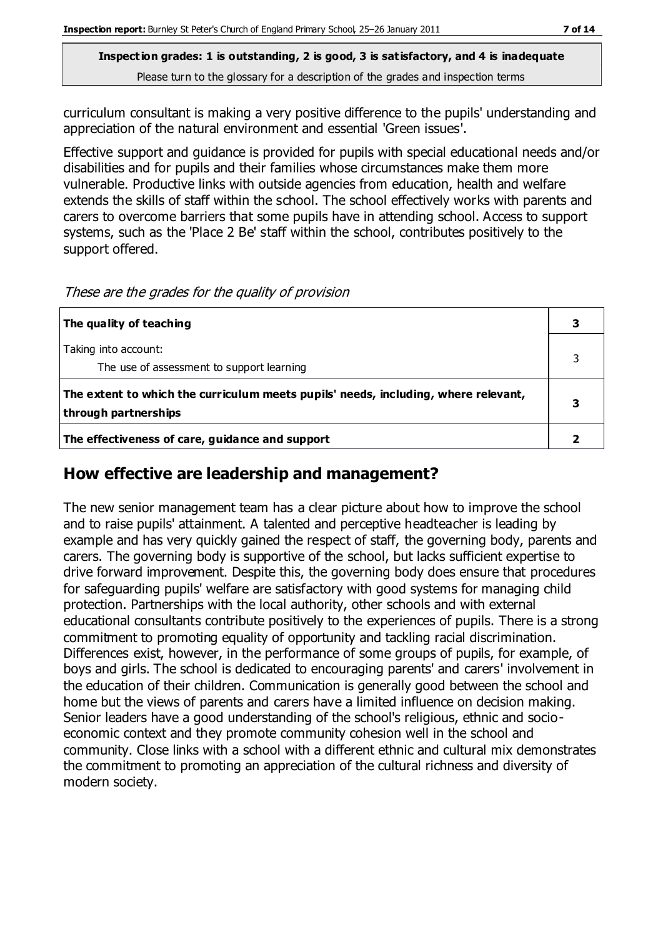**Inspection grades: 1 is outstanding, 2 is good, 3 is satisfactory, and 4 is inadequate** Please turn to the glossary for a description of the grades and inspection terms

curriculum consultant is making a very positive difference to the pupils' understanding and appreciation of the natural environment and essential 'Green issues'.

Effective support and guidance is provided for pupils with special educational needs and/or disabilities and for pupils and their families whose circumstances make them more vulnerable. Productive links with outside agencies from education, health and welfare extends the skills of staff within the school. The school effectively works with parents and carers to overcome barriers that some pupils have in attending school. Access to support systems, such as the 'Place 2 Be' staff within the school, contributes positively to the support offered.

These are the grades for the quality of provision

| The quality of teaching                                                                                    |  |
|------------------------------------------------------------------------------------------------------------|--|
| Taking into account:<br>The use of assessment to support learning                                          |  |
| The extent to which the curriculum meets pupils' needs, including, where relevant,<br>through partnerships |  |
| The effectiveness of care, guidance and support                                                            |  |

#### **How effective are leadership and management?**

The new senior management team has a clear picture about how to improve the school and to raise pupils' attainment. A talented and perceptive headteacher is leading by example and has very quickly gained the respect of staff, the governing body, parents and carers. The governing body is supportive of the school, but lacks sufficient expertise to drive forward improvement. Despite this, the governing body does ensure that procedures for safeguarding pupils' welfare are satisfactory with good systems for managing child protection. Partnerships with the local authority, other schools and with external educational consultants contribute positively to the experiences of pupils. There is a strong commitment to promoting equality of opportunity and tackling racial discrimination. Differences exist, however, in the performance of some groups of pupils, for example, of boys and girls. The school is dedicated to encouraging parents' and carers' involvement in the education of their children. Communication is generally good between the school and home but the views of parents and carers have a limited influence on decision making. Senior leaders have a good understanding of the school's religious, ethnic and socioeconomic context and they promote community cohesion well in the school and community. Close links with a school with a different ethnic and cultural mix demonstrates the commitment to promoting an appreciation of the cultural richness and diversity of modern society.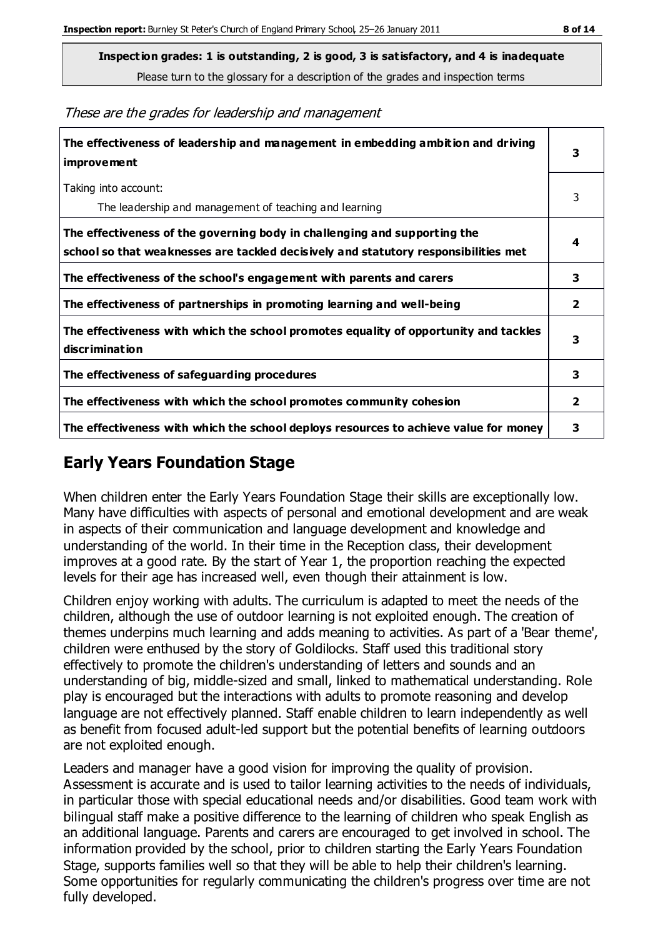**Inspection grades: 1 is outstanding, 2 is good, 3 is satisfactory, and 4 is inadequate**

Please turn to the glossary for a description of the grades and inspection terms

These are the grades for leadership and management

| The effectiveness of leadership and management in embedding ambition and driving<br>improvement                                                                  |              |
|------------------------------------------------------------------------------------------------------------------------------------------------------------------|--------------|
| Taking into account:<br>The leadership and management of teaching and learning                                                                                   | 3            |
| The effectiveness of the governing body in challenging and supporting the<br>school so that weaknesses are tackled decisively and statutory responsibilities met | 4            |
| The effectiveness of the school's engagement with parents and carers                                                                                             | 3            |
| The effectiveness of partnerships in promoting learning and well-being                                                                                           | $\mathbf{2}$ |
| The effectiveness with which the school promotes equality of opportunity and tackles<br>discrimination                                                           | 3            |
| The effectiveness of safeguarding procedures                                                                                                                     | 3            |
| The effectiveness with which the school promotes community cohesion                                                                                              | $\mathbf{2}$ |
| The effectiveness with which the school deploys resources to achieve value for money                                                                             | 3            |

### **Early Years Foundation Stage**

When children enter the Early Years Foundation Stage their skills are exceptionally low. Many have difficulties with aspects of personal and emotional development and are weak in aspects of their communication and language development and knowledge and understanding of the world. In their time in the Reception class, their development improves at a good rate. By the start of Year 1, the proportion reaching the expected levels for their age has increased well, even though their attainment is low.

Children enjoy working with adults. The curriculum is adapted to meet the needs of the children, although the use of outdoor learning is not exploited enough. The creation of themes underpins much learning and adds meaning to activities. As part of a 'Bear theme', children were enthused by the story of Goldilocks. Staff used this traditional story effectively to promote the children's understanding of letters and sounds and an understanding of big, middle-sized and small, linked to mathematical understanding. Role play is encouraged but the interactions with adults to promote reasoning and develop language are not effectively planned. Staff enable children to learn independently as well as benefit from focused adult-led support but the potential benefits of learning outdoors are not exploited enough.

Leaders and manager have a good vision for improving the quality of provision. Assessment is accurate and is used to tailor learning activities to the needs of individuals, in particular those with special educational needs and/or disabilities. Good team work with bilingual staff make a positive difference to the learning of children who speak English as an additional language. Parents and carers are encouraged to get involved in school. The information provided by the school, prior to children starting the Early Years Foundation Stage, supports families well so that they will be able to help their children's learning. Some opportunities for regularly communicating the children's progress over time are not fully developed.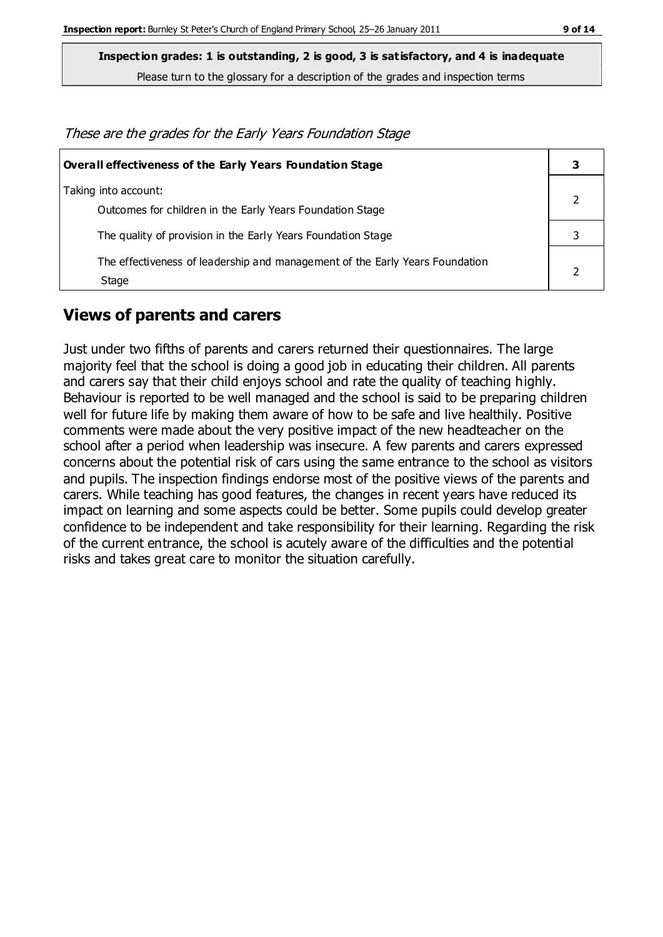**Inspection grades: 1 is outstanding, 2 is good, 3 is satisfactory, and 4 is inadequate**

Please turn to the glossary for a description of the grades and inspection terms

These are the grades for the Early Years Foundation Stage **Overall effectiveness of the Early Years Foundation Stage 3**

| Taking into account:                                                         |  |
|------------------------------------------------------------------------------|--|
| Outcomes for children in the Early Years Foundation Stage                    |  |
| The quality of provision in the Early Years Foundation Stage                 |  |
| The effectiveness of leadership and management of the Early Years Foundation |  |
| Stage                                                                        |  |

#### **Views of parents and carers**

Just under two fifths of parents and carers returned their questionnaires. The large majority feel that the school is doing a good job in educating their children. All parents and carers say that their child enjoys school and rate the quality of teaching highly. Behaviour is reported to be well managed and the school is said to be preparing children well for future life by making them aware of how to be safe and live healthily. Positive comments were made about the very positive impact of the new headteacher on the school after a period when leadership was insecure. A few parents and carers expressed concerns about the potential risk of cars using the same entrance to the school as visitors and pupils. The inspection findings endorse most of the positive views of the parents and carers. While teaching has good features, the changes in recent years have reduced its impact on learning and some aspects could be better. Some pupils could develop greater confidence to be independent and take responsibility for their learning. Regarding the risk of the current entrance, the school is acutely aware of the difficulties and the potential risks and takes great care to monitor the situation carefully.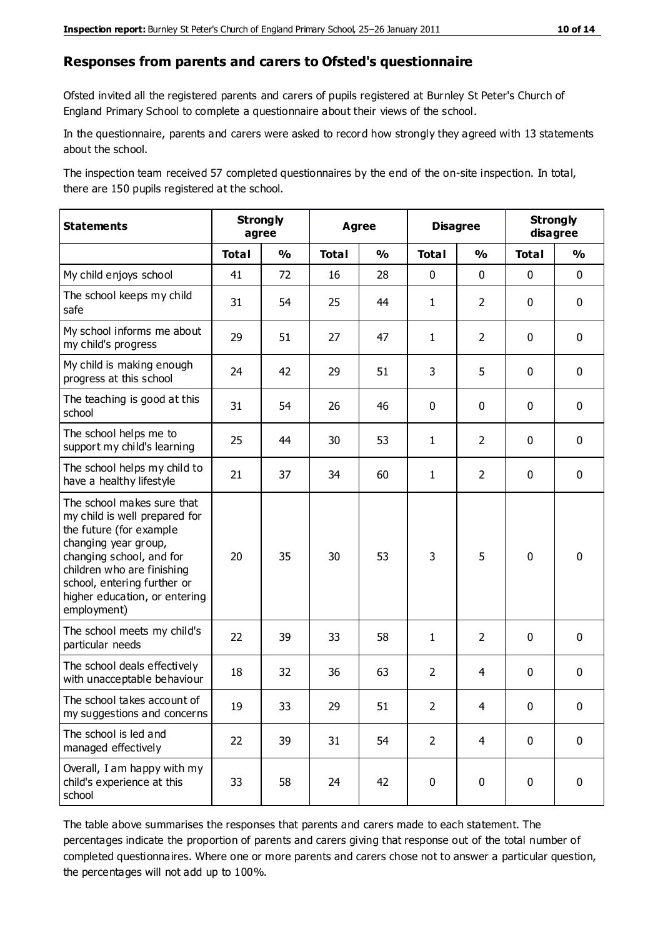#### **Responses from parents and carers to Ofsted's questionnaire**

Ofsted invited all the registered parents and carers of pupils registered at Burnley St Peter's Church of England Primary School to complete a questionnaire about their views of the school.

In the questionnaire, parents and carers were asked to record how strongly they agreed with 13 statements about the school.

The inspection team received 57 completed questionnaires by the end of the on-site inspection. In total, there are 150 pupils registered at the school.

| <b>Statements</b>                                                                                                                                                                                                                                       | <b>Strongly</b><br>agree |               | <b>Agree</b> |               |                | <b>Disagree</b> | <b>Strongly</b><br>disagree |               |
|---------------------------------------------------------------------------------------------------------------------------------------------------------------------------------------------------------------------------------------------------------|--------------------------|---------------|--------------|---------------|----------------|-----------------|-----------------------------|---------------|
|                                                                                                                                                                                                                                                         | <b>Total</b>             | $\frac{0}{0}$ | <b>Total</b> | $\frac{0}{0}$ | <b>Total</b>   | $\frac{0}{0}$   | <b>Total</b>                | $\frac{0}{0}$ |
| My child enjoys school                                                                                                                                                                                                                                  | 41                       | 72            | 16           | 28            | 0              | $\mathbf 0$     | 0                           | $\mathbf 0$   |
| The school keeps my child<br>safe                                                                                                                                                                                                                       | 31                       | 54            | 25           | 44            | $\mathbf{1}$   | $\overline{2}$  | $\mathbf 0$                 | $\mathbf 0$   |
| My school informs me about<br>my child's progress                                                                                                                                                                                                       | 29                       | 51            | 27           | 47            | $\mathbf{1}$   | $\overline{2}$  | $\mathbf 0$                 | $\mathbf 0$   |
| My child is making enough<br>progress at this school                                                                                                                                                                                                    | 24                       | 42            | 29           | 51            | 3              | 5               | $\mathbf 0$                 | $\mathbf 0$   |
| The teaching is good at this<br>school                                                                                                                                                                                                                  | 31                       | 54            | 26           | 46            | 0              | $\mathbf 0$     | $\mathbf 0$                 | $\mathbf 0$   |
| The school helps me to<br>support my child's learning                                                                                                                                                                                                   | 25                       | 44            | 30           | 53            | $\mathbf{1}$   | $\overline{2}$  | $\mathbf 0$                 | $\mathbf 0$   |
| The school helps my child to<br>have a healthy lifestyle                                                                                                                                                                                                | 21                       | 37            | 34           | 60            | $\mathbf{1}$   | $\overline{2}$  | $\mathbf 0$                 | $\mathbf 0$   |
| The school makes sure that<br>my child is well prepared for<br>the future (for example<br>changing year group,<br>changing school, and for<br>children who are finishing<br>school, entering further or<br>higher education, or entering<br>employment) | 20                       | 35            | 30           | 53            | 3              | 5               | $\mathbf 0$                 | $\mathbf 0$   |
| The school meets my child's<br>particular needs                                                                                                                                                                                                         | 22                       | 39            | 33           | 58            | $\mathbf{1}$   | $\overline{2}$  | $\mathbf 0$                 | $\mathbf 0$   |
| The school deals effectively<br>with unacceptable behaviour                                                                                                                                                                                             | 18                       | 32            | 36           | 63            | $\overline{2}$ | 4               | $\mathbf 0$                 | $\mathbf 0$   |
| The school takes account of<br>my suggestions and concerns                                                                                                                                                                                              | 19                       | 33            | 29           | 51            | $\overline{2}$ | 4               | 0                           | 0             |
| The school is led and<br>managed effectively                                                                                                                                                                                                            | 22                       | 39            | 31           | 54            | $\overline{2}$ | $\overline{4}$  | $\mathbf 0$                 | $\mathbf 0$   |
| Overall, I am happy with my<br>child's experience at this<br>school                                                                                                                                                                                     | 33                       | 58            | 24           | 42            | $\pmb{0}$      | $\pmb{0}$       | $\pmb{0}$                   | $\pmb{0}$     |

The table above summarises the responses that parents and carers made to each statement. The percentages indicate the proportion of parents and carers giving that response out of the total number of completed questionnaires. Where one or more parents and carers chose not to answer a particular question, the percentages will not add up to 100%.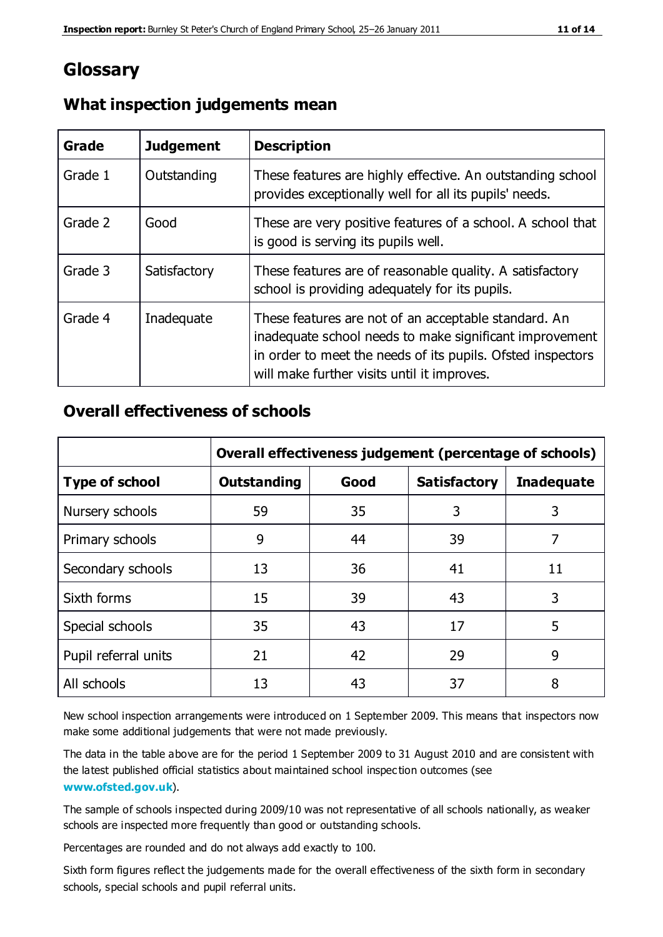# **Glossary**

| Grade   | <b>Judgement</b> | <b>Description</b>                                                                                                                                                                                                            |
|---------|------------------|-------------------------------------------------------------------------------------------------------------------------------------------------------------------------------------------------------------------------------|
| Grade 1 | Outstanding      | These features are highly effective. An outstanding school<br>provides exceptionally well for all its pupils' needs.                                                                                                          |
| Grade 2 | Good             | These are very positive features of a school. A school that<br>is good is serving its pupils well.                                                                                                                            |
| Grade 3 | Satisfactory     | These features are of reasonable quality. A satisfactory<br>school is providing adequately for its pupils.                                                                                                                    |
| Grade 4 | Inadequate       | These features are not of an acceptable standard. An<br>inadequate school needs to make significant improvement<br>in order to meet the needs of its pupils. Ofsted inspectors<br>will make further visits until it improves. |

#### **What inspection judgements mean**

#### **Overall effectiveness of schools**

|                       | Overall effectiveness judgement (percentage of schools) |      |                     |                   |
|-----------------------|---------------------------------------------------------|------|---------------------|-------------------|
| <b>Type of school</b> | <b>Outstanding</b>                                      | Good | <b>Satisfactory</b> | <b>Inadequate</b> |
| Nursery schools       | 59                                                      | 35   | 3                   | 3                 |
| Primary schools       | 9                                                       | 44   | 39                  | 7                 |
| Secondary schools     | 13                                                      | 36   | 41                  | 11                |
| Sixth forms           | 15                                                      | 39   | 43                  | 3                 |
| Special schools       | 35                                                      | 43   | 17                  | 5                 |
| Pupil referral units  | 21                                                      | 42   | 29                  | 9                 |
| All schools           | 13                                                      | 43   | 37                  | 8                 |

New school inspection arrangements were introduced on 1 September 2009. This means that inspectors now make some additional judgements that were not made previously.

The data in the table above are for the period 1 September 2009 to 31 August 2010 and are consistent with the latest published official statistics about maintained school inspec tion outcomes (see **[www.ofsted.gov.uk](http://www.ofsted.gov.uk/)**).

The sample of schools inspected during 2009/10 was not representative of all schools nationally, as weaker schools are inspected more frequently than good or outstanding schools.

Percentages are rounded and do not always add exactly to 100.

Sixth form figures reflect the judgements made for the overall effectiveness of the sixth form in secondary schools, special schools and pupil referral units.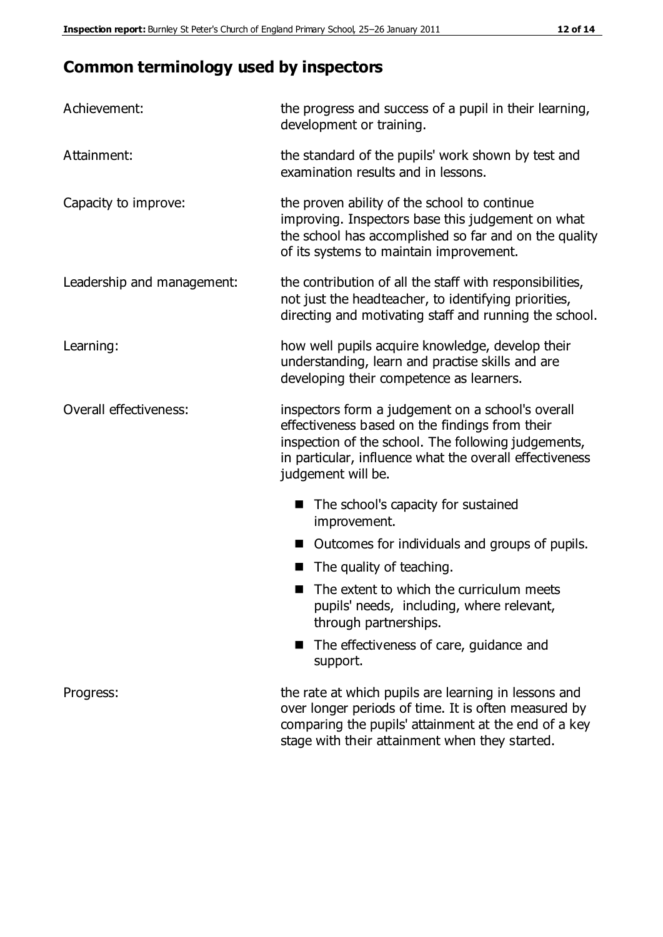# **Common terminology used by inspectors**

| Achievement:               | the progress and success of a pupil in their learning,<br>development or training.                                                                                                                                                          |
|----------------------------|---------------------------------------------------------------------------------------------------------------------------------------------------------------------------------------------------------------------------------------------|
| Attainment:                | the standard of the pupils' work shown by test and<br>examination results and in lessons.                                                                                                                                                   |
| Capacity to improve:       | the proven ability of the school to continue<br>improving. Inspectors base this judgement on what<br>the school has accomplished so far and on the quality<br>of its systems to maintain improvement.                                       |
| Leadership and management: | the contribution of all the staff with responsibilities,<br>not just the headteacher, to identifying priorities,<br>directing and motivating staff and running the school.                                                                  |
| Learning:                  | how well pupils acquire knowledge, develop their<br>understanding, learn and practise skills and are<br>developing their competence as learners.                                                                                            |
| Overall effectiveness:     | inspectors form a judgement on a school's overall<br>effectiveness based on the findings from their<br>inspection of the school. The following judgements,<br>in particular, influence what the overall effectiveness<br>judgement will be. |
|                            | The school's capacity for sustained<br>improvement.                                                                                                                                                                                         |
|                            | Outcomes for individuals and groups of pupils.                                                                                                                                                                                              |
|                            | The quality of teaching.                                                                                                                                                                                                                    |
|                            | The extent to which the curriculum meets<br>pupils' needs, including, where relevant,<br>through partnerships.                                                                                                                              |
|                            | The effectiveness of care, guidance and<br>support.                                                                                                                                                                                         |
| Progress:                  | the rate at which pupils are learning in lessons and<br>over longer periods of time. It is often measured by<br>comparing the pupils' attainment at the end of a key                                                                        |

stage with their attainment when they started.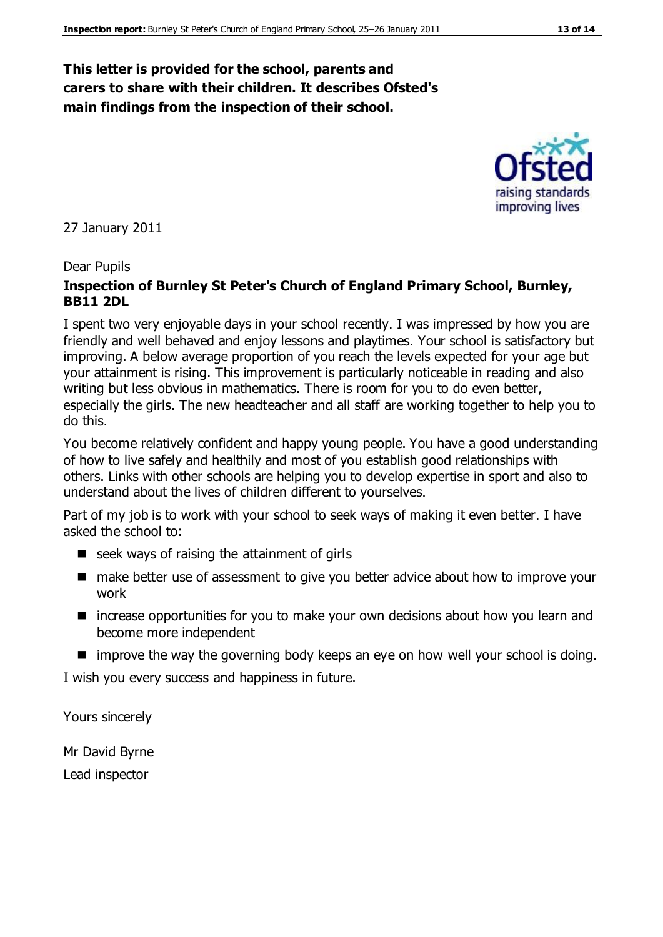#### **This letter is provided for the school, parents and carers to share with their children. It describes Ofsted's main findings from the inspection of their school.**

27 January 2011

#### Dear Pupils

#### **Inspection of Burnley St Peter's Church of England Primary School, Burnley, BB11 2DL**

I spent two very enjoyable days in your school recently. I was impressed by how you are friendly and well behaved and enjoy lessons and playtimes. Your school is satisfactory but improving. A below average proportion of you reach the levels expected for your age but your attainment is rising. This improvement is particularly noticeable in reading and also writing but less obvious in mathematics. There is room for you to do even better, especially the girls. The new headteacher and all staff are working together to help you to do this.

You become relatively confident and happy young people. You have a good understanding of how to live safely and healthily and most of you establish good relationships with others. Links with other schools are helping you to develop expertise in sport and also to understand about the lives of children different to yourselves.

Part of my job is to work with your school to seek ways of making it even better. I have asked the school to:

- $\blacksquare$  seek ways of raising the attainment of girls
- make better use of assessment to give you better advice about how to improve your work
- increase opportunities for you to make your own decisions about how you learn and become more independent
- $\blacksquare$  improve the way the governing body keeps an eye on how well your school is doing.

I wish you every success and happiness in future.

Yours sincerely

Mr David Byrne Lead inspector